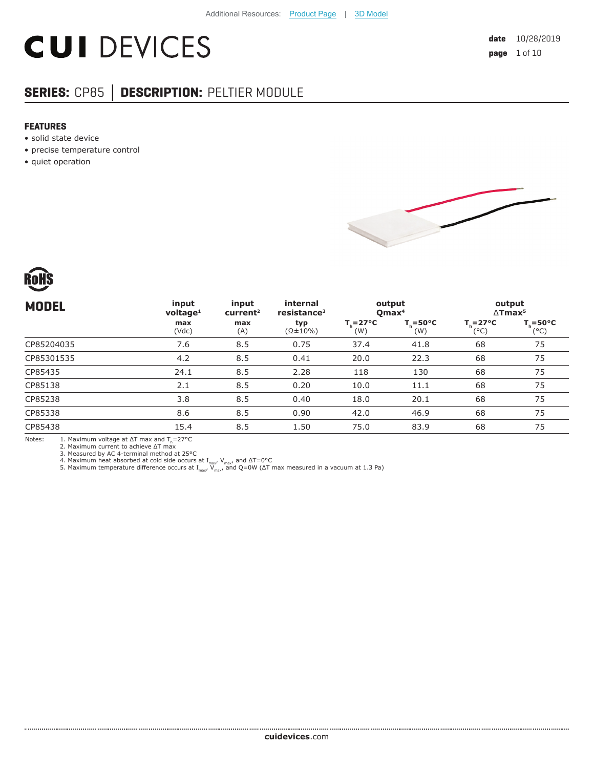# **CUI DEVICES**

#### **SERIES:** CP85 **│ DESCRIPTION:** PELTIER MODULE

#### **FEATURES**

- solid state device
- precise temperature control
- quiet operation





| <b>MODEL</b> | input<br>$v$ oltage <sup>1</sup> | input<br>current <sup>2</sup> | internal<br>resistance <sup>3</sup> | output<br>$O$ max <sup>4</sup> |                            | output<br>$\Delta$ Tmax <sup>5</sup> |                             |
|--------------|----------------------------------|-------------------------------|-------------------------------------|--------------------------------|----------------------------|--------------------------------------|-----------------------------|
|              | max<br>(Vdc)                     | max<br>(A)                    | typ<br>$(\Omega \pm 10\%)$          | $T_c = 27^{\circ}C$<br>(W)     | $T_c = 50^{\circ}C$<br>(W) | $T_{h} = 27^{\circ}C$<br>(°C)        | $T_c = 50^{\circ}C$<br>(°C) |
| CP85204035   | 7.6                              | 8.5                           | 0.75                                | 37.4                           | 41.8                       | 68                                   | 75                          |
| CP85301535   | 4.2                              | 8.5                           | 0.41                                | 20.0                           | 22.3                       | 68                                   | 75                          |
| CP85435      | 24.1                             | 8.5                           | 2.28                                | 118                            | 130                        | 68                                   | 75                          |
| CP85138      | 2.1                              | 8.5                           | 0.20                                | 10.0                           | 11.1                       | 68                                   | 75                          |
| CP85238      | 3.8                              | 8.5                           | 0.40                                | 18.0                           | 20.1                       | 68                                   | 75                          |
| CP85338      | 8.6                              | 8.5                           | 0.90                                | 42.0                           | 46.9                       | 68                                   | 75                          |
| CP85438      | 15.4                             | 8.5                           | 1.50                                | 75.0                           | 83.9                       | 68                                   | 75                          |
|              |                                  |                               |                                     |                                |                            |                                      |                             |

Notes: 1. Maximum voltage at  $\Delta T$  max and  $T_n = 27^{\circ}\text{C}$ <br>
2. Maximum current to achieve  $\Delta T$  max<br>
3. Measured by AC 4-terminal method at 25°C<br>
4. Maximum heat absorbed at cold side occurs at  $I_{\text{max}}$ ,  $V_{\text{max}}$ , and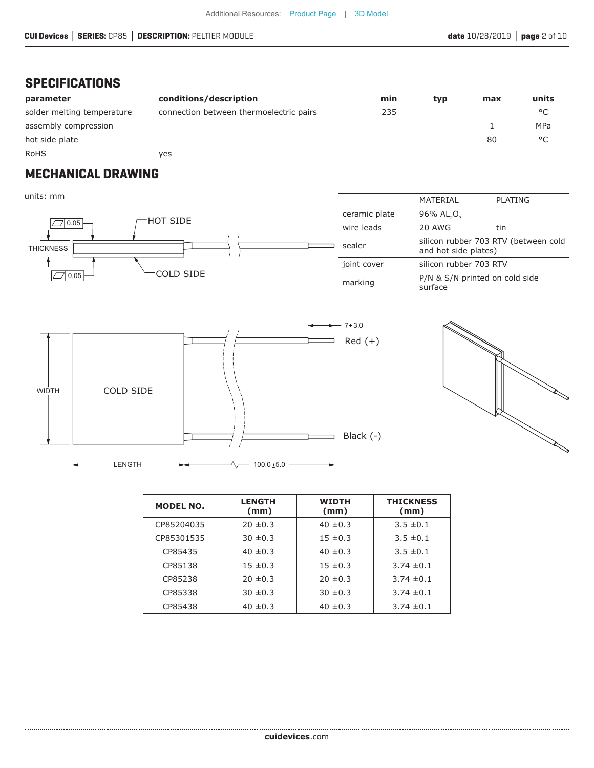#### **SPECIFICATIONS**

| parameter                  | conditions/description                  | min | typ | max | units   |
|----------------------------|-----------------------------------------|-----|-----|-----|---------|
| solder melting temperature | connection between thermoelectric pairs | 235 |     |     |         |
| assembly compression       |                                         |     |     |     | MPa     |
| hot side plate             |                                         |     |     | 80  | $\circ$ |
| <b>RoHS</b>                | ves                                     |     |     |     |         |

#### **MECHANICAL DRAWING**

units: mm

.....................







| <b>MODEL NO.</b> | <b>LENGTH</b><br>(mm) | <b>WIDTH</b><br>(mm) | <b>THICKNESS</b><br>(mm) |
|------------------|-----------------------|----------------------|--------------------------|
| CP85204035       | $20 \pm 0.3$          | $40 \pm 0.3$         | $3.5 \pm 0.1$            |
| CP85301535       | $30 \pm 0.3$          | $15 \pm 0.3$         | $3.5 \pm 0.1$            |
| CP85435          | $40 \pm 0.3$          | $40 \pm 0.3$         | $3.5 \pm 0.1$            |
| CP85138          | $15 \pm 0.3$          | $15 \pm 0.3$         | $3.74 \pm 0.1$           |
| CP85238          | $20 \pm 0.3$          | $20 \pm 0.3$         | $3.74 \pm 0.1$           |
| CP85338          | $30 \pm 0.3$          | $30 \pm 0.3$         | $3.74 \pm 0.1$           |
| CP85438          | $40 \pm 0.3$          | $40 \pm 0.3$         | $3.74 \pm 0.1$           |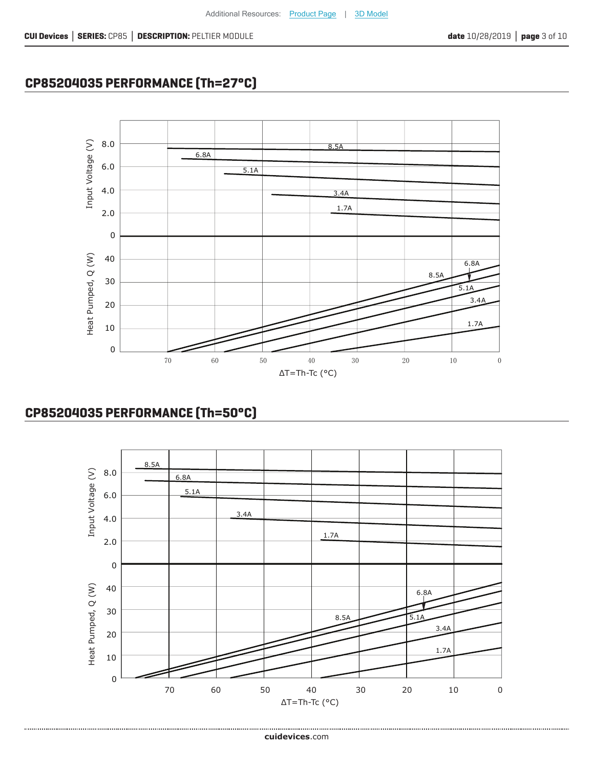## **CP85204035 PERFORMANCE (Th=27°C)**



#### **CP85204035 PERFORMANCE (Th=50°C)**

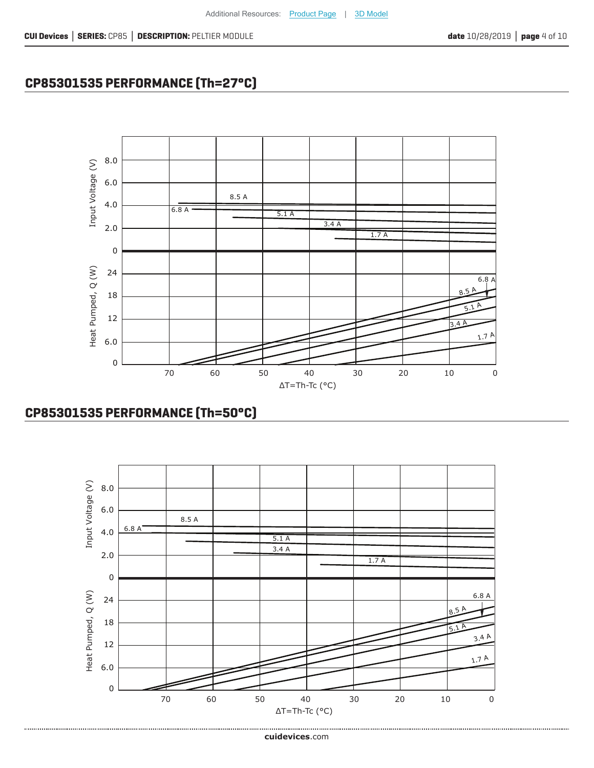

## **CP85301535 PERFORMANCE (Th=27°C)**



Additional Resources: [Product Page](https://www.cuidevices.com/track?actionLabel=Datasheet-ClickThrough-ProductPage&label=CP85.pdf&path=%2fproduct%2fthermal-management%2fpeltier-devices%2fsingle-stage-peltier-modules%2fcp85-series) | [3D Model](https://www.cuidevices.com/track?actionLabel=Datasheet-ClickThrough-3dmodel&label=CP85.pdf&path=%2fresources%2fcad-model-library%3fModelNumber%3dCP85+Series)

#### **CP85301535 PERFORMANCE (Th=50°C)**

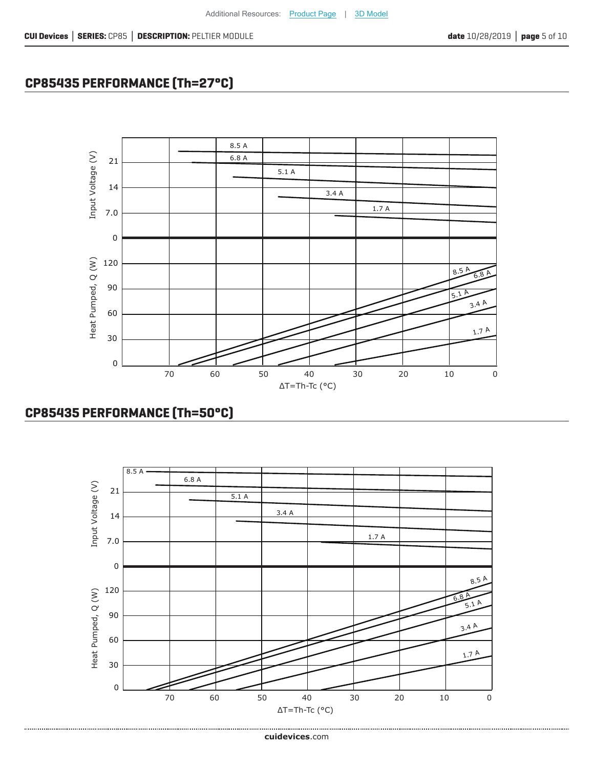

**CP85435 PERFORMANCE (Th=27°C)**



Additional Resources: [Product Page](https://www.cuidevices.com/track?actionLabel=Datasheet-ClickThrough-ProductPage&label=CP85.pdf&path=%2fproduct%2fthermal-management%2fpeltier-devices%2fsingle-stage-peltier-modules%2fcp85-series) | [3D Model](https://www.cuidevices.com/track?actionLabel=Datasheet-ClickThrough-3dmodel&label=CP85.pdf&path=%2fresources%2fcad-model-library%3fModelNumber%3dCP85+Series)

#### **CP85435 PERFORMANCE (Th=50°C)**

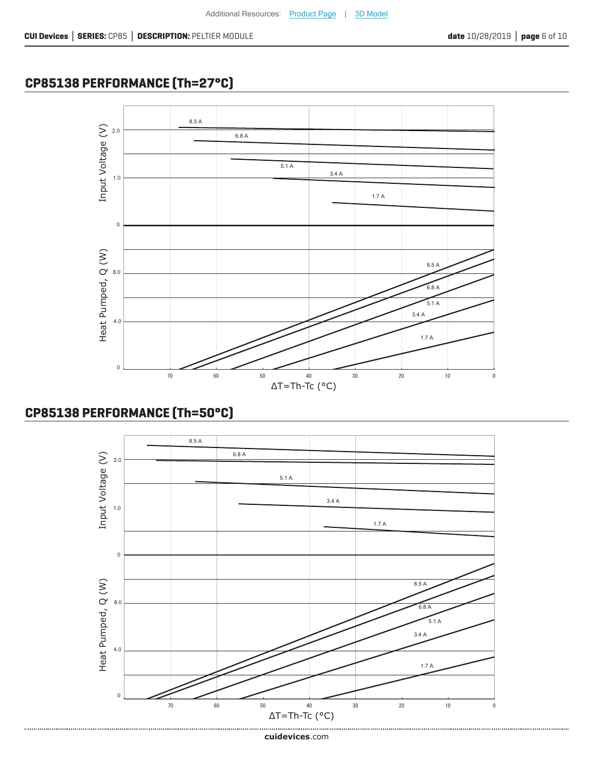## **CP85138 PERFORMANCE (Th=27°C)**



## **CP85138 PERFORMANCE (Th=50°C)**

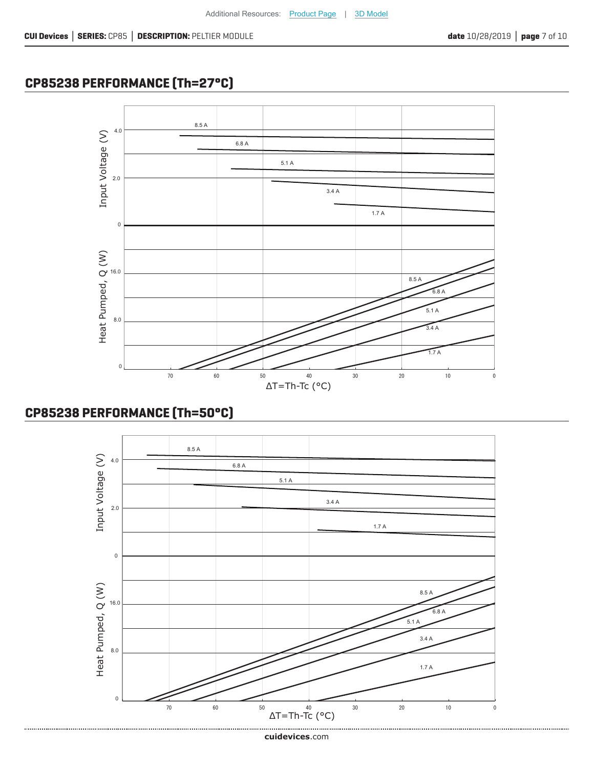## **CP85238 PERFORMANCE (Th=27°C)**



#### **CP85238 PERFORMANCE (Th=50°C)**



**cui[devices](https://www.cuidevices.com/track?actionLabel=Datasheet-ClickThrough-HomePage&label=CP85.pdf&path=/)**.com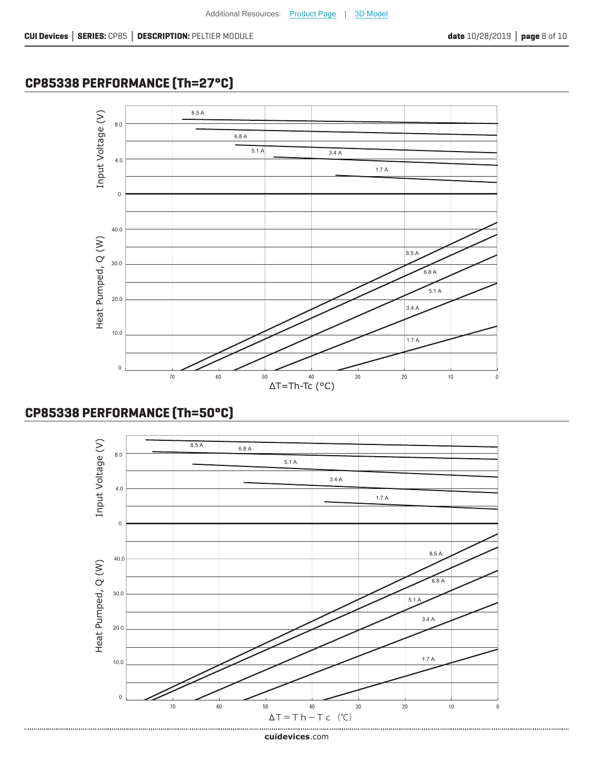## **CP85338 PERFORMANCE (Th=27°C)**



#### **CP85338 PERFORMANCE (Th=50°C)**



**cui[devices](https://www.cuidevices.com/track?actionLabel=Datasheet-ClickThrough-HomePage&label=CP85.pdf&path=/)**.com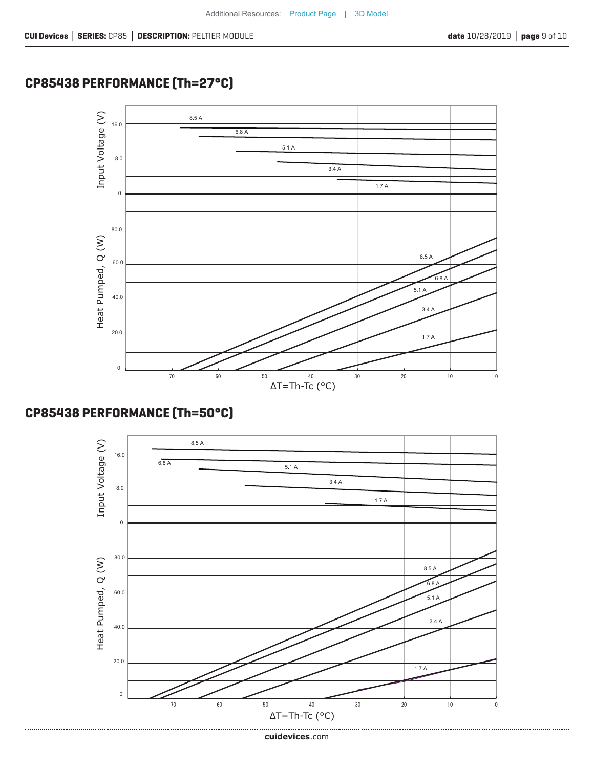## **CP85438 PERFORMANCE (Th=27°C)**



#### **CP85438 PERFORMANCE (Th=50°C)**

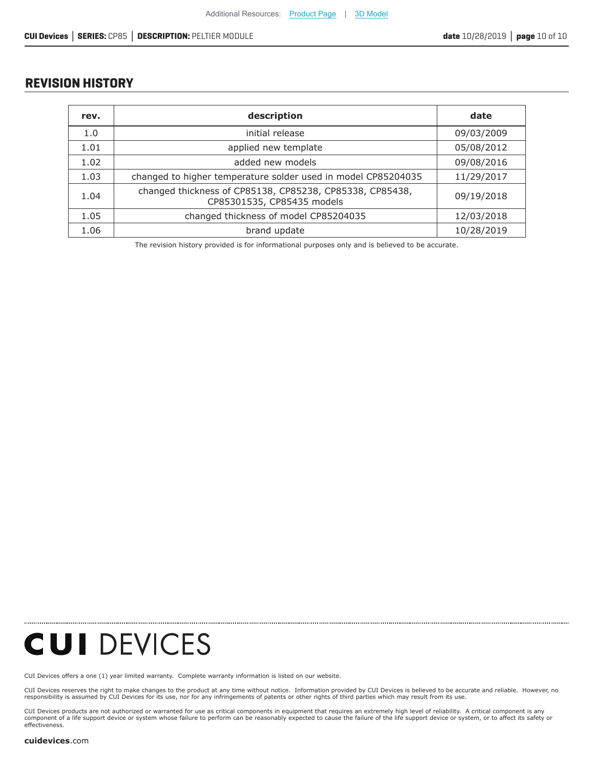#### **REVISION HISTORY**

| rev. | description                                                                            | date       |  |
|------|----------------------------------------------------------------------------------------|------------|--|
| 1.0  | initial release                                                                        | 09/03/2009 |  |
| 1.01 | applied new template                                                                   | 05/08/2012 |  |
| 1.02 | added new models                                                                       | 09/08/2016 |  |
| 1.03 | changed to higher temperature solder used in model CP85204035                          | 11/29/2017 |  |
| 1.04 | changed thickness of CP85138, CP85238, CP85338, CP85438,<br>CP85301535, CP85435 models | 09/19/2018 |  |
| 1.05 | changed thickness of model CP85204035                                                  | 12/03/2018 |  |
| 1.06 | brand update                                                                           | 10/28/2019 |  |

The revision history provided is for informational purposes only and is believed to be accurate.

## **CUI DEVICES**

[CUI Devices offers a one \(1\) year limited warranty. Complete](https://www.cuidevices.com/track?actionLabel=Datasheet-ClickThrough-HomePage&label=CP85.pdf&path=/) warranty information is listed on our website.

CUI Devices reserves the right to make changes to the product at any time without notice. Information provided by CUI Devices is believed to be accurate and reliable. However, no<br>responsibility is assumed by CUI Devices

CUI Devices products are not authorized or warranted for use as critical components in equiment that requires an extremely high level of reliability. A critical component is any<br>component of a life support device or syste